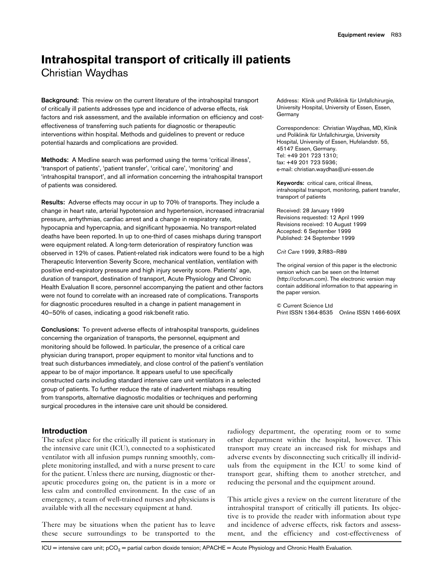# **Intrahospital transport of critically ill patients** Christian Waydhas

**Background:** This review on the current literature of the intrahospital transport of critically ill patients addresses type and incidence of adverse effects, risk factors and risk assessment, and the available information on efficiency and costeffectiveness of transferring such patients for diagnostic or therapeutic interventions within hospital. Methods and guidelines to prevent or reduce potential hazards and complications are provided.

**Methods:** A Medline search was performed using the terms 'critical illness', 'transport of patients', 'patient transfer', 'critical care', 'monitoring' and 'intrahospital transport', and all information concerning the intrahospital transport of patients was considered.

**Results:** Adverse effects may occur in up to 70% of transports. They include a change in heart rate, arterial hypotension and hypertension, increased intracranial pressure, arrhythmias, cardiac arrest and a change in respiratory rate, hypocapnia and hypercapnia, and significant hypoxaemia. No transport-related deaths have been reported. In up to one-third of cases mishaps during transport were equipment related. A long-term deterioration of respiratory function was observed in 12% of cases. Patient-related risk indicators were found to be a high Therapeutic Intervention Severity Score, mechanical ventilation, ventilation with positive end-expiratory pressure and high injury severity score. Patients' age, duration of transport, destination of transport, Acute Physiology and Chronic Health Evaluation II score, personnel accompanying the patient and other factors were not found to correlate with an increased rate of complications. Transports for diagnostic procedures resulted in a change in patient management in 40–50% of cases, indicating a good risk:benefit ratio.

**Conclusions:** To prevent adverse effects of intrahospital transports, guidelines concerning the organization of transports, the personnel, equipment and monitoring should be followed. In particular, the presence of a critical care physician during transport, proper equipment to monitor vital functions and to treat such disturbances immediately, and close control of the patient's ventilation appear to be of major importance. It appears useful to use specifically constructed carts including standard intensive care unit ventilators in a selected group of patients. To further reduce the rate of inadvertent mishaps resulting from transports, alternative diagnostic modalities or techniques and performing surgical procedures in the intensive care unit should be considered.

### **Introduction**

The safest place for the critically ill patient is stationary in the intensive care unit (ICU), connected to a sophisticated ventilator with all infusion pumps running smoothly, complete monitoring installed, and with a nurse present to care for the patient. Unless there are nursing, diagnostic or therapeutic procedures going on, the patient is in a more or less calm and controlled environment. In the case of an emergency, a team of well-trained nurses and physicians is available with all the necessary equipment at hand.

There may be situations when the patient has to leave these secure surroundings to be transported to the

Address: Klinik und Poliklinik für Unfallchirurgie, University Hospital, University of Essen, Essen, Germany

Correspondence: Christian Waydhas, MD, Klinik und Poliklinik für Unfallchirurgie, University Hospital, University of Essen, Hufelandstr. 55, 45147 Essen, Germany. Tel: +49 201 723 1310; fax: +49 201 723 5936; e-mail: christian.waydhas@uni-essen.de

**Keywords:** critical care, critical illness, intrahospital transport, monitoring, patient transfer, transport of patients

Received: 28 January 1999 Revisions requested: 12 April 1999 Revisions received: 10 August 1999 Accepted: 6 September 1999 Published: 24 September 1999

*Crit Care* 1999, **3**:R83–R89

The original version of this paper is the electronic version which can be seen on the Internet (http://ccforum.com). The electronic version may contain additional information to that appearing in the paper version.

© Current Science Ltd Print ISSN 1364-8535 Online ISSN 1466-609X

radiology department, the operating room or to some other department within the hospital, however. This transport may create an increased risk for mishaps and adverse events by disconnecting such critically ill individuals from the equipment in the ICU to some kind of transport gear, shifting them to another stretcher, and reducing the personal and the equipment around.

This article gives a review on the current literature of the intrahospital transport of critically ill patients. Its objective is to provide the reader with information about type and incidence of adverse effects, risk factors and assessment, and the efficiency and cost-effectiveness of

 $ICU =$  intensive care unit;  $pCO<sub>2</sub> =$  partial carbon dioxide tension; APACHE = Acute Physiology and Chronic Health Evaluation.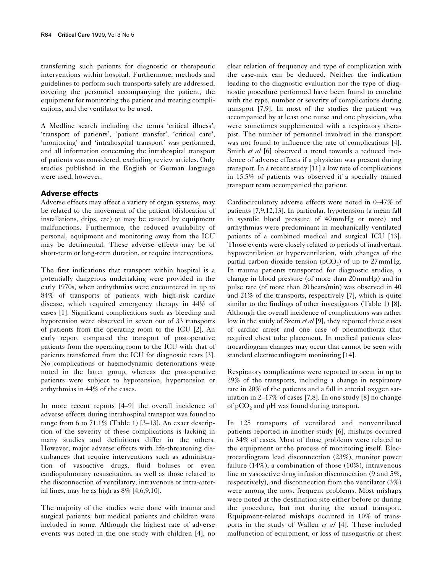transferring such patients for diagnostic or therapeutic interventions within hospital. Furthermore, methods and guidelines to perform such transports safely are addressed, covering the personnel accompanying the patient, the equipment for monitoring the patient and treating complications, and the ventilator to be used.

A Medline search including the terms 'critical illness', 'transport of patients', 'patient transfer', 'critical care', 'monitoring' and 'intrahospital transport' was performed, and all information concerning the intrahospital transport of patients was considered, excluding review articles. Only studies published in the English or German language were used, however.

## **Adverse effects**

Adverse effects may affect a variety of organ systems, may be related to the movement of the patient (dislocation of installations, drips, etc) or may be caused by equipment malfunctions. Furthermore, the reduced availability of personal, equipment and monitoring away from the ICU may be detrimental. These adverse effects may be of short-term or long-term duration, or require interventions.

The first indications that transport within hospital is a potentially dangerous undertaking were provided in the early 1970s, when arrhythmias were encountered in up to 84% of transports of patients with high-risk cardiac disease, which required emergency therapy in 44% of cases [1]. Significant complications such as bleeding and hypotension were observed in seven out of 33 transports of patients from the operating room to the ICU [2]. An early report compared the transport of postoperative patients from the operating room to the ICU with that of patients transferred from the ICU for diagnostic tests [3]. No complications or haemodynamic deteriorations were noted in the latter group, whereas the postoperative patients were subject to hypotension, hypertension or arrhythmias in 44% of the cases.

In more recent reports [4–9] the overall incidence of adverse effects during intrahospital transport was found to range from 6 to 71.1% (Table 1) [3–13]. An exact description of the severity of these complications is lacking in many studies and definitions differ in the others. However, major adverse effects with life-threatening disturbances that require interventions such as administration of vasoactive drugs, fluid boluses or even cardiopulmonary resuscitation, as well as those related to the disconnection of ventilatory, intravenous or intra-arterial lines, may be as high as 8% [4,6,9,10].

The majority of the studies were done with trauma and surgical patients, but medical patients and children were included in some. Although the highest rate of adverse events was noted in the one study with children [4], no clear relation of frequency and type of complication with the case-mix can be deduced. Neither the indication leading to the diagnostic evaluation nor the type of diagnostic procedure performed have been found to correlate with the type, number or severity of complications during transport [7,9]. In most of the studies the patient was accompanied by at least one nurse and one physician, who were sometimes supplemented with a respiratory therapist. The number of personnel involved in the transport was not found to influence the rate of complications [4]. Smith *et al* [6] observed a trend towards a reduced incidence of adverse effects if a physician was present during transport. In a recent study [11] a low rate of complications in 15.5% of patients was observed if a specially trained transport team accompanied the patient.

Cardiocirculatory adverse effects were noted in 0–47% of patients [7,9,12,13]. In particular, hypotension (a mean fall in systolic blood pressure of 40mmHg or more) and arrhythmias were predominant in mechanically ventilated patients of a combined medical and surgical ICU [13]. Those events were closely related to periods of inadvertant hypoventilation or hyperventilation, with changes of the partial carbon dioxide tension ( $pCO<sub>2</sub>$ ) of up to 27 mmHg. In trauma patients transported for diagnostic studies, a change in blood pressure (of more than 20mmHg) and in pulse rate (of more than 20beats/min) was observed in 40 and 21% of the transports, respectively [7], which is quite similar to the findings of other investigators (Table 1) [8]. Although the overall incidence of complications was rather low in the study of Szem *et al* [9], they reported three cases of cardiac arrest and one case of pneumothorax that required chest tube placement. In medical patients electrocardiogram changes may occur that cannot be seen with standard electrocardiogram monitoring [14].

Respiratory complications were reported to occur in up to 29% of the transports, including a change in respiratory rate in 20% of the patients and a fall in arterial oxygen saturation in 2–17% of cases [7,8]. In one study [8] no change of  $pCO<sub>2</sub>$  and  $pH$  was found during transport.

In 125 transports of ventilated and nonventilated patients reported in another study [6], mishaps occurred in 34% of cases. Most of those problems were related to the equipment or the process of monitoring itself. Electrocardiogram lead disconnection (23%), monitor power failure (14%), a combination of those (10%), intravenous line or vasoactive drug infusion disconnection (9 and 5%, respectively), and disconnection from the ventilator (3%) were among the most frequent problems. Most mishaps were noted at the destination site either before or during the procedure, but not during the actual transport. Equipment-related mishaps occurred in 10% of transports in the study of Wallen *et al* [4]. These included malfunction of equipment, or loss of nasogastric or chest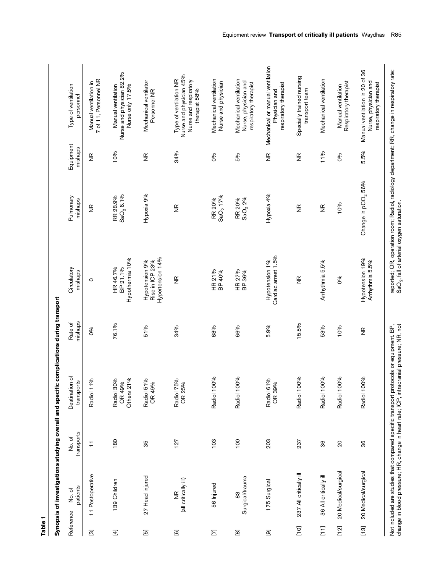|                                       |                                            |                      | Synopsis of investigations studying overall and specific complications during transport                                                                                          |                         |                                                          |                                |                        |                                                                                             |
|---------------------------------------|--------------------------------------------|----------------------|----------------------------------------------------------------------------------------------------------------------------------------------------------------------------------|-------------------------|----------------------------------------------------------|--------------------------------|------------------------|---------------------------------------------------------------------------------------------|
| Reference                             | patients<br>No. of                         | transports<br>No. of | Destination of<br>transports                                                                                                                                                     | mishaps<br>Rate of      | Circulatory<br>mishaps                                   | Pulmonary<br>mishaps           | Equipment<br>mishaps   | Type of ventilation<br>personnel                                                            |
| $\Xi$                                 | 11 Postoperative                           | $\overline{1}$       | S,<br>Radiol 11                                                                                                                                                                  | 86                      | $\circ$                                                  | $\frac{\alpha}{\beta}$         | $\frac{\alpha}{\beta}$ | 7 of 11, Personnel NR<br>Manual ventilation in                                              |
| $\boxed{4}$                           | 139 Children                               | 180                  | Others 21%<br>Radiol 30%<br>OR 49%                                                                                                                                               | 76.1%                   | Hypothermia 10%<br>HR 46.7%<br>BP 21.1%                  | $GaO_2$ 6.1%<br>RR 28.9%       | 10%                    | Nurse and physician 82.2%<br>Manual ventilation<br>Nurse only 17.8%                         |
| $\overline{\mathbf{E}}$               | 27 Head injured                            | 35                   | Radiol 51%<br>OR 49%                                                                                                                                                             | 51%                     | Hypertension 14%<br>Hypotension 9%<br>Rise in ICP 23%    | Hypoxia 9%                     | $\frac{\alpha}{\beta}$ | Mechanical ventilator<br>Personnel NR                                                       |
| $\Xi$                                 | (all critically ill)<br>$\frac{\alpha}{2}$ | 127                  | Radiol 75%<br>OR 25%                                                                                                                                                             | 34%                     | $\frac{\alpha}{2}$                                       | $\frac{\alpha}{\beta}$         | 34%                    | Nurse and physician 45%<br>Type of ventilation NR<br>Nurse and respiratory<br>therapist 58% |
| $\Xi$                                 | 56 Injured                                 | 103                  | Radiol 100%                                                                                                                                                                      | 68%                     | HR 21%<br>BP 40%                                         | SaO <sub>2</sub> 17%<br>RR 20% | 0%                     | Mechanical ventilation<br>Nurse and physician                                               |
| $\Xi$                                 | Surgical/trauma<br>83                      | 100                  | Radiol 100%                                                                                                                                                                      | 66%                     | HR 27%<br>BP 36%                                         | SaO <sub>2</sub> 2%<br>RR 20%  | 5%                     | Mechanical ventilation<br>Nurse, physician and<br>respiratory therapist                     |
| $\overline{\mathbf{e}}$               | 175 Surgical                               | 203                  | Radiol 61%<br>OR 39%                                                                                                                                                             | 5.9%                    | Cardiac arrest 1.5%<br>Hypotension 1%                    | Hypoxia 4%                     | $\frac{\alpha}{2}$     | Mechanical or manual ventilation<br>respiratory therapist<br>Physician and                  |
| $[10]$                                | 237 All critically ill                     | 237                  | Radiol 100%                                                                                                                                                                      | 15.5%                   | $\frac{\alpha}{\beta}$                                   | $\frac{\alpha}{\beta}$         | $\frac{\alpha}{\beta}$ | Specially trained nursing<br>transport team                                                 |
| $\overline{11}$                       | 36 All critically ill                      | 36                   | Radiol 100%                                                                                                                                                                      | 53%                     | Arrhythmia 5.5%                                          | $\frac{\alpha}{\beta}$         | 11%                    | Mechanical ventilation                                                                      |
| $[12]$                                | 20 Medical/surgical                        | 20                   | Radiol 100%                                                                                                                                                                      | 10%                     | 8                                                        | 10%                            | 8                      | Respiratory therapist<br>Manual ventilation                                                 |
| $\begin{bmatrix} 1 & 3 \end{bmatrix}$ | 20 Medical/surgical                        | 36                   | Radiol 100%                                                                                                                                                                      | $\frac{\alpha}{\alpha}$ | Hypotension 19%<br>Arrhythmia 5.5%                       | Change in pCO <sub>2</sub> 56% | 5.5%                   | Manual ventilation in 20 of 36<br>Nurse, physician and<br>respiratory therapist             |
|                                       |                                            |                      | change in blood pressure; HR, change in heart rate; ICP, intracranial pressure; NR, not<br>Not included are studies that compared specific transport protocols or equipment. BP, |                         | $\mathsf{SaO}_{2}$ , fall of arterial oxygen saturation. |                                |                        | reported; OR, operation room; Radiol, radiology department; RR, change in respiratory rate; |

**Table 1**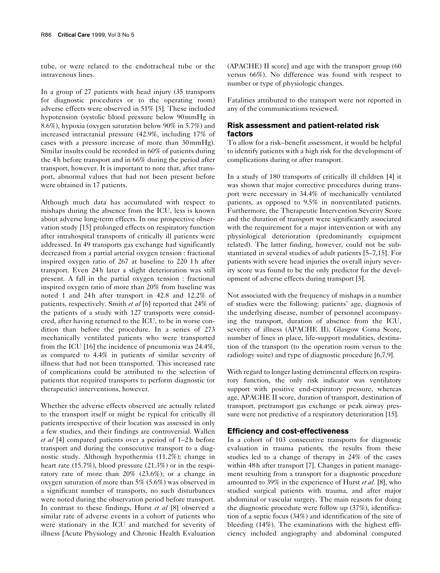tube, or were related to the endotracheal tube or the intravenous lines.

In a group of 27 patients with head injury (35 transports for diagnostic procedures or to the operating room) adverse effects were observed in 51% [5]. These included hypotension (systolic blood pressure below 90 mmHg in 8.6%), hypoxia (oxygen saturation below 90% in 5.7%) and increased intracranial pressure (42.9%, including 17% of cases with a pressure increase of more than 30 mmHg). Similar insults could be recorded in 60% of patients during the 4 h before transport and in 66% during the period after transport, however. It is important to note that, after transport, abnormal values that had not been present before were obtained in 17 patients.

Although much data has accumulated with respect to mishaps during the absence from the ICU, less is known about adverse long-term effects. In one prospective observation study [15] prolonged effects on respiratory function after intrahospital transports of critically ill patients were addressed. In 49 transports gas exchange had significantly decreased from a partial arterial oxygen tension : fractional inspired oxygen ratio of 267 at baseline to 220 1h after transport. Even 24 h later a slight deterioration was still present. A fall in the partial oxygen tension : fractional inspired oxygen ratio of more than 20% from baseline was noted 1 and 24h after transport in 42.8 and 12.2% of patients, respectively. Smith *et al* [6] reported that 24% of the patients of a study with 127 transports were considered, after having returned to the ICU, to be in worse condition than before the procedure. In a series of 273 mechanically ventilated patients who were transported from the ICU [16] the incidence of pneumonia was 24.4%, as compared to 4.4% in patients of similar severity of illness that had not been transported. This increased rate of complications could be attributed to the selection of patients that required transports to perform diagnostic (or therapeutic) interventions, however.

Whether the adverse effects observed are actually related to the transport itself or might be typical for critically ill patients irrespective of their location was assessed in only a few studies, and their findings are controversial. Wallen *et al* [4] compared patients over a period of 1–2 h before transport and during the consecutive transport to a diagnostic study. Although hypothermia (11.2%); change in heart rate (15.7%), blood pressure (21.3%) or in the respiratory rate of more than 20% (23.6%); or a change in oxygen saturation of more than 5% (5.6%) was observed in a significant number of transports, no such disturbances were noted during the observation period before transport. In contrast to these findings, Hurst *et al* [8] observed a similar rate of adverse events in a cohort of patients who were stationary in the ICU and matched for severity of illness [Acute Physiology and Chronic Health Evaluation (APACHE) II score] and age with the transport group (60 versus 66%). No difference was found with respect to number or type of physiologic changes.

Fatalities attributed to the transport were not reported in any of the communications reviewed.

# **Risk assessment and patient-related risk factors**

To allow for a risk–benefit assessment, it would be helpful to identify patients with a high risk for the development of complications during or after transport.

In a study of 180 transports of critically ill children [4] it was shown that major corrective procedures during transport were necessary in 34.4% of mechanically ventilated patients, as opposed to 9.5% in nonventilated patients. Furthermore, the Therapeutic Intervention Severity Score and the duration of transport were significantly associated with the requirement for a major intervention or with any physiological deterioration (predominantly equipment related). The latter finding, however, could not be substantiated in several studies of adult patients [5–7,15]. For patients with severe head injuries the overall injury severity score was found to be the only predictor for the development of adverse effects during transport [5].

Not associated with the frequency of mishaps in a number of studies were the following: patients' age, diagnosis of the underlying disease, number of personnel accompanying the transport, duration of absence from the ICU, severity of illness (APACHE II), Glasgow Coma Score, number of lines in place, life-support modalities, destination of the transport (to the operation room versus to the radiology suite) and type of diagnostic procedure [6,7,9].

With regard to longer lasting detrimental effects on respiratory function, the only risk indicator was ventilatory support with positive end-expiratory pressure, whereas age, APACHE II score, duration of transport, destination of transport, pretransport gas exchange or peak airway pressure were not predictive of a respiratory deterioration [15].

#### **Efficiency and cost-effectiveness**

In a cohort of 103 consecutive transports for diagnostic evaluation in trauma patients, the results from these studies led to a change of therapy in 24% of the cases within 48h after transport [7]. Changes in patient management resulting from a transport for a diagnostic procedure amounted to 39% in the experience of Hurst *et al*. [8], who studied surgical patients with trauma, and after major abdominal or vascular surgery. The main reasons for doing the diagnostic procedure were follow up (37%), identification of a septic focus (34%) and identification of the site of bleeding (14%). The examinations with the highest efficiency included angiography and abdominal computed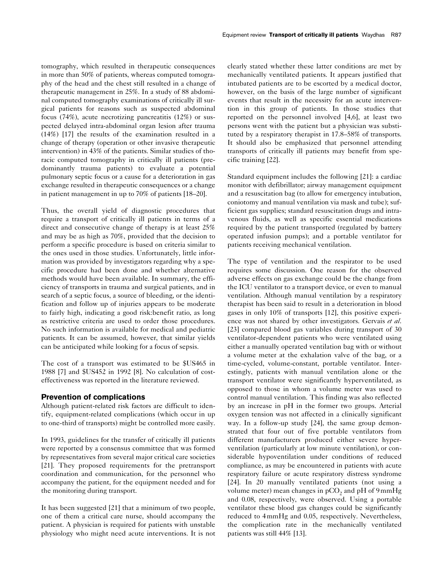tomography, which resulted in therapeutic consequences in more than 50% of patients, whereas computed tomography of the head and the chest still resulted in a change of therapeutic management in 25%. In a study of 88 abdominal computed tomography examinations of critically ill surgical patients for reasons such as suspected abdominal focus (74%), acute necrotizing pancreatitis (12%) or suspected delayed intra-abdominal organ lesion after trauma (14%) [17] the results of the examination resulted in a change of therapy (operation or other invasive therapeutic intervention) in 43% of the patients. Similar studies of thoracic computed tomography in critically ill patients (predominantly trauma patients) to evaluate a potential pulmonary septic focus or a cause for a deterioration in gas exchange resulted in therapeutic consequences or a change in patient management in up to 70% of patients [18–20].

Thus, the overall yield of diagnostic procedures that require a transport of critically ill patients in terms of a direct and consecutive change of therapy is at least 25% and may be as high as 70%, provided that the decision to perform a specific procedure is based on criteria similar to the ones used in those studies. Unfortunately, little information was provided by investigators regarding why a specific procedure had been done and whether alternative methods would have been available. In summary, the efficiency of transports in trauma and surgical patients, and in search of a septic focus, a source of bleeding, or the identification and follow up of injuries appears to be moderate to fairly high, indicating a good risk:benefit ratio, as long as restrictive criteria are used to order those procedures. No such information is available for medical and pediatric patients. It can be assumed, however, that similar yields can be anticipated while looking for a focus of sepsis.

The cost of a transport was estimated to be \$US465 in 1988 [7] and \$US452 in 1992 [8]. No calculation of costeffectiveness was reported in the literature reviewed.

#### **Prevention of complications**

Although patient-related risk factors are difficult to identify, equipment-related complications (which occur in up to one-third of transports) might be controlled more easily.

In 1993, guidelines for the transfer of critically ill patients were reported by a consensus committee that was formed by representatives from several major critical care societies [21]. They proposed requirements for the pretransport coordination and communication, for the personnel who accompany the patient, for the equipment needed and for the monitoring during transport.

It has been suggested [21] that a minimum of two people, one of them a critical care nurse, should accompany the patient. A physician is required for patients with unstable physiology who might need acute interventions. It is not clearly stated whether these latter conditions are met by mechanically ventilated patients. It appears justified that intubated patients are to be escorted by a medical doctor, however, on the basis of the large number of significant events that result in the necessity for an acute intervention in this group of patients. In those studies that reported on the personnel involved [4,6], at least two persons went with the patient but a physician was substituted by a respiratory therapist in 17.8–58% of transports. It should also be emphasized that personnel attending transports of critically ill patients may benefit from specific training [22].

Standard equipment includes the following [21]: a cardiac monitor with defibrillator; airway management equipment and a resuscitation bag (to allow for emergency intubation, coniotomy and manual ventilation via mask and tube); sufficient gas supplies; standard resuscitation drugs and intravenous fluids, as well as specific essential medications required by the patient transported (regulated by battery operated infusion pumps); and a portable ventilator for patients receiving mechanical ventilation.

The type of ventilation and the respirator to be used requires some discussion. One reason for the observed adverse effects on gas exchange could be the change from the ICU ventilator to a transport device, or even to manual ventilation. Although manual ventilation by a respiratory therapist has been said to result in a deterioration in blood gases in only 10% of transports [12], this positive experience was not shared by other investigators. Gervais *et al*. [23] compared blood gas variables during transport of 30 ventilator-dependent patients who were ventilated using either a manually operated ventilation bag with or without a volume meter at the exhalation valve of the bag, or a time-cycled, volume-constant, portable ventilator. Interestingly, patients with manual ventilation alone or the transport ventilator were significantly hyperventilated, as opposed to those in whom a volume meter was used to control manual ventilation. This finding was also reflected by an increase in pH in the former two groups. Arterial oxygen tension was not affected in a clinically significant way. In a follow-up study [24], the same group demonstrated that four out of five portable ventilators from different manufacturers produced either severe hyperventilation (particularly at low minute ventilation), or considerable hypoventilation under conditions of reduced compliance, as may be encountered in patients with acute respiratory failure or acute respiratory distress syndrome [24]. In 20 manually ventilated patients (not using a volume meter) mean changes in  $pCO<sub>2</sub>$  and  $pH$  of 9 mmHg and 0.08, respectively, were observed. Using a portable ventilator these blood gas changes could be significantly reduced to 4 mmHg and 0.05, respectively. Nevertheless, the complication rate in the mechanically ventilated patients was still 44% [13].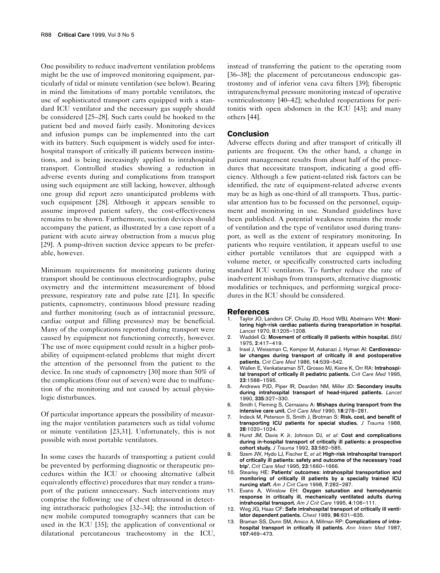One possibility to reduce inadvertent ventilation problems might be the use of improved monitoring equipment, particularly of tidal or minute ventilation (see below). Bearing in mind the limitations of many portable ventilators, the use of sophisticated transport carts equipped with a standard ICU ventilator and the necessary gas supply should be considered [25–28]. Such carts could be hooked to the patient bed and moved fairly easily. Monitoring devices and infusion pumps can be implemented into the cart with its battery. Such equipment is widely used for interhospital transport of critically ill patients between institutions, and is being increasingly applied to intrahospital transport. Controlled studies showing a reduction in adverse events during and complications from transport using such equipment are still lacking, however, although one group did report zero unanticipated problems with such equipment [28]. Although it appears sensible to assume improved patient safety, the cost-effectiveness remains to be shown. Furthermore, suction devices should accompany the patient, as illustrated by a case report of a patient with acute airway obstruction from a mucus plug [29]. A pump-driven suction device appears to be preferable, however.

Minimum requirements for monitoring patients during transport should be continuous electrocardiography, pulse oxymetry and the intermittent measurement of blood pressure, respiratory rate and pulse rate [21]. In specific patients, capnometry, continuous blood pressure reading and further monitoring (such as of intracranial pressure, cardiac output and filling pressures) may be beneficial. Many of the complications reported during transport were caused by equipment not functioning correctly, however. The use of more equipment could result in a higher probability of equipment-related problems that might divert the attention of the personnel from the patient to the device. In one study of capnometry [30] more than 50% of the complications (four out of seven) were due to malfunction of the monitoring and not caused by actual physiologic disturbances.

Of particular importance appears the possibility of measuring the major ventilation parameters such as tidal volume or minute ventilation [23,31]. Unfortunately, this is not possible with most portable ventilators.

In some cases the hazards of transporting a patient could be prevented by performing diagnostic or therapeutic procedures within the ICU or choosing alternative (albeit equivalently effective) procedures that may render a transport of the patient unnecessary. Such interventions may comprise the following: use of chest ultrasound in detecting intrathoracic pathologies [32–34]; the introduction of new mobile computed tomography scanners that can be used in the ICU [35]; the application of conventional or dilatational percutaneous tracheostomy in the ICU, instead of transferring the patient to the operating room [36–38]; the placement of percutaneous endoscopic gastrostomy and of inferior vena cava filters [39]; fiberoptic intraparenchymal pressure monitoring instead of operative ventriculostomy [40–42]; scheduled reoperations for peritonitis with open abdomen in the ICU [43]; and many others [44].

#### **Conclusion**

Adverse effects during and after transport of critically ill patients are frequent. On the other hand, a change in patient management results from about half of the procedures that necessitate transport, indicating a good efficiency. Although a few patient-related risk factors can be identified, the rate of equipment-related adverse events may be as high as one-third of all transports. Thus, particular attention has to be focussed on the personnel, equipment and monitoring in use. Standard guidelines have been published. A potential weakness remains the mode of ventilation and the type of ventilator used during transport, as well as the extent of respiratory monitoring. In patients who require ventilation, it appears useful to use either portable ventilators that are equipped with a volume meter, or specifically constructed carts including standard ICU ventilators. To further reduce the rate of inadvertent mishaps from transports, alternative diagnostic modalities or techniques, and performing surgical procedures in the ICU should be considered.

#### **References**

- 1. Taylor JO, Landers CF, Chulay JD, Hood WBJ, Abelmann WH: **Monitoring high-risk cardiac patients during transportation in hospital.** *Lancet* 1970, **II**:1205–1208.
- 2. Waddell G: **Movement of critically ill patients within hospital.** *BMJ* 1975, **2**:417–419.
- 3. Insel J, Weissman C, Kemper M, Askanazi J, Hyman AI: **Cardiovascular changes during transport of critically ill and postoperative patients.** *Crit Care Med* 1986, **14**:539–542.
- 4. Wallen E, Venkataraman ST, Grosso MJ, Kiene K, Orr RA: **Intrahospital transport of critically ill pediatric patients.** *Crit Care Med* 1995, **23**:1588–1595.
- 5. Andrews PJD, Piper IR, Dearden NM, Miller JD**: Secondary insults during intrahospital transport of head-injured patients.** *Lancet* 1990, **335**:327–330.
- 6. Smith I, Fleming S, Cernaianu A: **Mishaps during transport from the intensive care unit.** *Crit Care Med* 1990, **18**:278–281.
- 7. Indeck M, Peterson S, Smith J, Brotman S: **Risk, cost, and benefit of transporting ICU patients for special studies.** *J Trauma* 1988, **28**:1020–1024.
- 8. Hurst JM, Davis K Jr, Johnson DJ, *et al*: **Cost and complications during in-hospital transport of critically ill patients: a prospective cohort study.** *J Trauma* 1992, **33**:582–585.
- 9. Szem JW, Hydo LJ, Fischer E, *et al***: High-risk intrahospital transport of critically ill patients: safety and outcome of the necessary 'road trip'.** *Crit Care Med* 1995, **23**:1660–1666.
- 10. Stearley HE: **Patients' outcomes: intrahospital transportation and monitoring of critically ill patients by a specially trained ICU nurcing staff.** *Am J Crit Care* 1998, **7**:282–287.
- 11. Evans A, Winslow EH: **Oxygen saturation and hemodynamic response in critically ill, mechanically ventilated adults during intrahospital transport.** *Am J Crit Care* 1995, **4**:106–111.
- 12. Weg JG, Haas CF: **Safe intrahospital transport of critically ill ventilator dependent patients.** *Chest* 1989, **96**:631–635.
- Braman SS, Dunn SM, Amico A, Millman RP: **Complications of intrahospital transport in critically ill patients.** *Ann Intern Med* 1987, **107**:469–473.